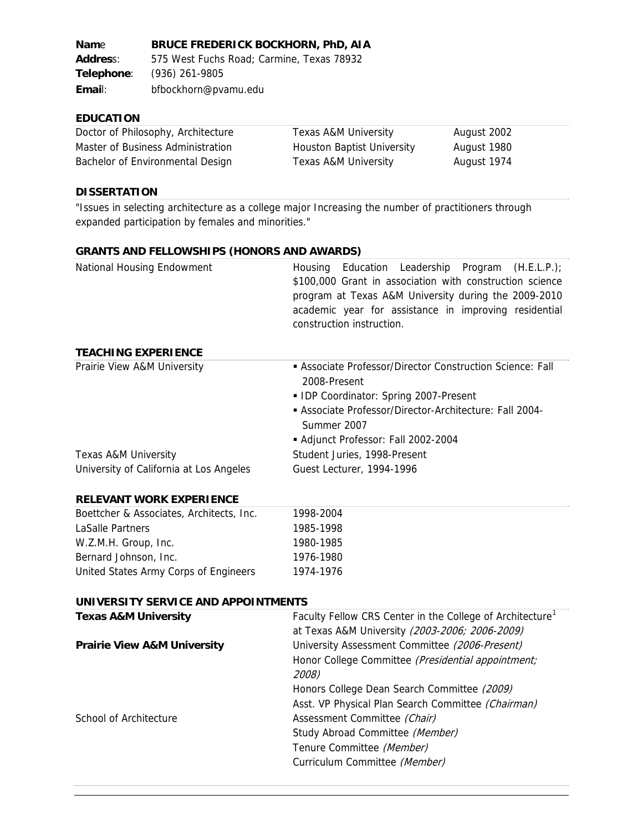**Nam**e **BRUCE FREDERICK BOCKHORN, PhD, AIA Addres**s: 575 West Fuchs Road; Carmine, Texas 78932 **Telephone**: (936) 261-9805 **Emai**l: bfbockhorn@pvamu.edu

## **EDUCATION**

| Doctor of Philosophy, Architecture | <b>Texas A&amp;M University</b>   | August 2002 |
|------------------------------------|-----------------------------------|-------------|
| Master of Business Administration  | <b>Houston Baptist University</b> | August 1980 |
| Bachelor of Environmental Design   | Texas A&M University              | August 1974 |

# **DISSERTATION**

"Issues in selecting architecture as a college major Increasing the number of practitioners through expanded participation by females and minorities."

# **GRANTS AND FELLOWSHIPS (HONORS AND AWARDS)**

| National Housing Endowment<br><b>TEACHING EXPERIENCE</b> | Housing Education Leadership Program $(H.E.L.P.)$<br>\$100,000 Grant in association with construction science<br>program at Texas A&M University during the 2009-2010<br>academic year for assistance in improving residential<br>construction instruction. |
|----------------------------------------------------------|-------------------------------------------------------------------------------------------------------------------------------------------------------------------------------------------------------------------------------------------------------------|
| Prairie View A&M University                              | • Associate Professor/Director Construction Science: Fall<br>2008-Present<br>• IDP Coordinator: Spring 2007-Present<br>• Associate Professor/Director-Architecture: Fall 2004-<br>Summer 2007                                                               |
|                                                          | Adjunct Professor: Fall 2002-2004                                                                                                                                                                                                                           |
| <b>Texas A&amp;M University</b>                          | Student Juries, 1998-Present                                                                                                                                                                                                                                |
| University of California at Los Angeles                  | Guest Lecturer, 1994-1996                                                                                                                                                                                                                                   |

## **RELEVANT WORK EXPERIENCE**

| Boettcher & Associates, Architects, Inc. | 1998-2004 |
|------------------------------------------|-----------|
| LaSalle Partners                         | 1985-1998 |
| W.Z.M.H. Group, Inc.                     | 1980-1985 |
| Bernard Johnson, Inc.                    | 1976-1980 |
| United States Army Corps of Engineers    | 1974-1976 |

# **UNIVERSITY SERVICE AND APPOINTMENTS**

| <b>Texas A&amp;M University</b>        | Faculty Fellow CRS Center in the College of Architecture <sup>1</sup> |  |
|----------------------------------------|-----------------------------------------------------------------------|--|
|                                        | at Texas A&M University (2003-2006; 2006-2009)                        |  |
| <b>Prairie View A&amp;M University</b> | University Assessment Committee (2006-Present)                        |  |
|                                        | Honor College Committee (Presidential appointment;                    |  |
|                                        | 2008)                                                                 |  |
|                                        | Honors College Dean Search Committee (2009)                           |  |
|                                        | Asst. VP Physical Plan Search Committee (Chairman)                    |  |
| School of Architecture                 | Assessment Committee (Chair)                                          |  |
|                                        | Study Abroad Committee (Member)                                       |  |
|                                        | Tenure Committee (Member)                                             |  |
|                                        | Curriculum Committee (Member)                                         |  |